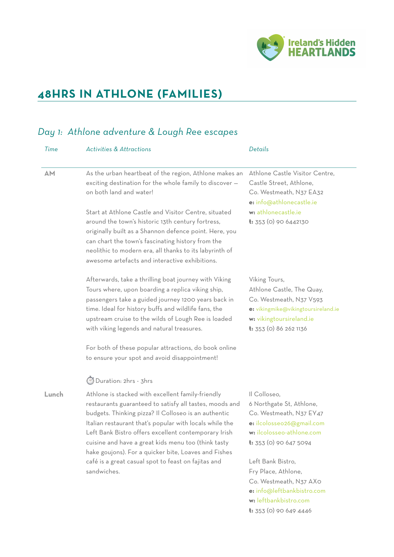

**t:** 353 (0) 90 649 4446

## **48HRS IN ATHLONE (FAMILIES)**

### *Day 1: Athlone adventure & Lough Ree escapes*

| Time      | <b>Activities &amp; Attractions</b>                                                                                                                                                                                                                                                                                                                                                                                                                                                                   | Details                                                                                                                                                                                                                                                                                     |
|-----------|-------------------------------------------------------------------------------------------------------------------------------------------------------------------------------------------------------------------------------------------------------------------------------------------------------------------------------------------------------------------------------------------------------------------------------------------------------------------------------------------------------|---------------------------------------------------------------------------------------------------------------------------------------------------------------------------------------------------------------------------------------------------------------------------------------------|
| <b>AM</b> | As the urban heartbeat of the region, Athlone makes an<br>exciting destination for the whole family to discover -<br>on both land and water!                                                                                                                                                                                                                                                                                                                                                          | Athlone Castle Visitor Centre,<br>Castle Street, Athlone,<br>Co. Westmeath, N37 EA32<br>e: info@athlonecastle.ie                                                                                                                                                                            |
|           | Start at Athlone Castle and Visitor Centre, situated<br>around the town's historic 13th century fortress,<br>originally built as a Shannon defence point. Here, you<br>can chart the town's fascinating history from the<br>neolithic to modern era, all thanks to its labyrinth of<br>awesome artefacts and interactive exhibitions.                                                                                                                                                                 | w: athlonecastle.ie<br>$t: 353$ (0) 90 6442130                                                                                                                                                                                                                                              |
|           | Afterwards, take a thrilling boat journey with Viking<br>Tours where, upon boarding a replica viking ship,<br>passengers take a guided journey 1200 years back in<br>time. Ideal for history buffs and wildlife fans, the<br>upstream cruise to the wilds of Lough Ree is loaded<br>with viking legends and natural treasures.<br>For both of these popular attractions, do book online<br>to ensure your spot and avoid disappointment!                                                              | Viking Tours,<br>Athlone Castle, The Quay,<br>Co. Westmeath, N37 V593<br>e: vikingmike@vikingtoursireland.ie<br>w: vikingtoursireland.ie<br>t: 353 (0) 86 262 1136                                                                                                                          |
| Lunch     | Duration: 2hrs - 3hrs<br>Athlone is stacked with excellent family-friendly<br>restaurants guaranteed to satisfy all tastes, moods and<br>budgets. Thinking pizza? Il Colloseo is an authentic<br>Italian restaurant that's popular with locals while the<br>Left Bank Bistro offers excellent contemporary Irish<br>cuisine and have a great kids menu too (think tasty<br>hake goujons). For a quicker bite, Loaves and Fishes<br>café is a great casual spot to feast on fajitas and<br>sandwiches. | Il Colloseo,<br>6 Northgate St, Athlone,<br>Co. Westmeath, N37 EY47<br>e: ilcolosseo26@gmail.com<br>w: ilcolosseo-athlone.com<br><b>t:</b> 353 (0) 90 647 5094<br>Left Bank Bistro,<br>Fry Place, Athlone,<br>Co. Westmeath, N37 AXO<br>e: info@leftbankbistro.com<br>w: leftbankbistro.com |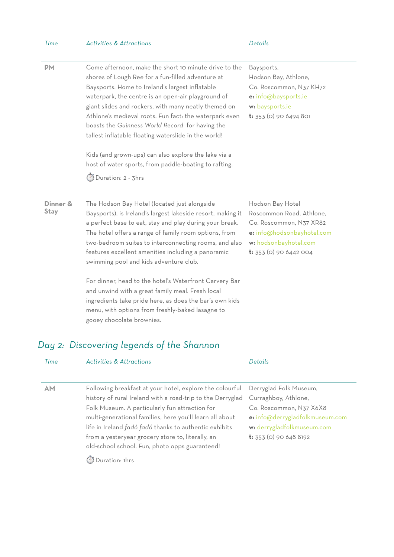| Time                    | <b>Activities &amp; Attractions</b>                                                                                                                                                                                                                                                                                                                                                                                                                                                                                                                                                                                                                | Details                                                                                                                                                    |
|-------------------------|----------------------------------------------------------------------------------------------------------------------------------------------------------------------------------------------------------------------------------------------------------------------------------------------------------------------------------------------------------------------------------------------------------------------------------------------------------------------------------------------------------------------------------------------------------------------------------------------------------------------------------------------------|------------------------------------------------------------------------------------------------------------------------------------------------------------|
| <b>PM</b>               | Come afternoon, make the short 10 minute drive to the<br>shores of Lough Ree for a fun-filled adventure at<br>Baysports. Home to Ireland's largest inflatable<br>waterpark, the centre is an open-air playground of<br>giant slides and rockers, with many neatly themed on<br>Athlone's medieval roots. Fun fact: the waterpark even<br>boasts the Guinness World Record for having the<br>tallest inflatable floating waterslide in the world!<br>Kids (and grown-ups) can also explore the lake via a<br>host of water sports, from paddle-boating to rafting.<br><b>Duration: 2 - 3hrs</b>                                                     | Baysports,<br>Hodson Bay, Athlone,<br>Co. Roscommon, N37 KH72<br>e: info@baysports.ie<br>w: baysports.ie<br>t: 353 (0) 90 6494 801                         |
| Dinner &<br><b>Stay</b> | The Hodson Bay Hotel (located just alongside<br>Baysports), is Ireland's largest lakeside resort, making it<br>a perfect base to eat, stay and play during your break.<br>The hotel offers a range of family room options, from<br>two-bedroom suites to interconnecting rooms, and also<br>features excellent amenities including a panoramic<br>swimming pool and kids adventure club.<br>For dinner, head to the hotel's Waterfront Carvery Bar<br>and unwind with a great family meal. Fresh local<br>ingredients take pride here, as does the bar's own kids<br>menu, with options from freshly-baked lasagne to<br>gooey chocolate brownies. | Hodson Bay Hotel<br>Roscommon Road, Athlone,<br>Co. Roscommon, N37 XR82<br>e: info@hodsonbayhotel.com<br>w: hodsonbayhotel.com<br>$t: 353$ (0) 90 6442 004 |

# *Day 2: Discovering legends of the Shannon*

| Time      | <b>Activities &amp; Attractions</b>                        | Details                         |
|-----------|------------------------------------------------------------|---------------------------------|
|           |                                                            |                                 |
| <b>AM</b> | Following breakfast at your hotel, explore the colourful   | Derryglad Folk Museum,          |
|           | history of rural Ireland with a road-trip to the Derryglad | Curraghboy, Athlone,            |
|           | Folk Museum. A particularly fun attraction for             | Co. Roscommon, N37 X6X8         |
|           | multi-generational families, here you'll learn all about   | e: info@derrygladfolkmuseum.com |
|           | life in Ireland fadó fadó thanks to authentic exhibits     | w: derrygladfolkmuseum.com      |
|           | from a yesteryear grocery store to, literally, an          | <b>t:</b> 353 (0) 90 648 8192   |
|           | old-school school. Fun, photo opps guaranteed!             |                                 |
|           | Duration: 1hrs                                             |                                 |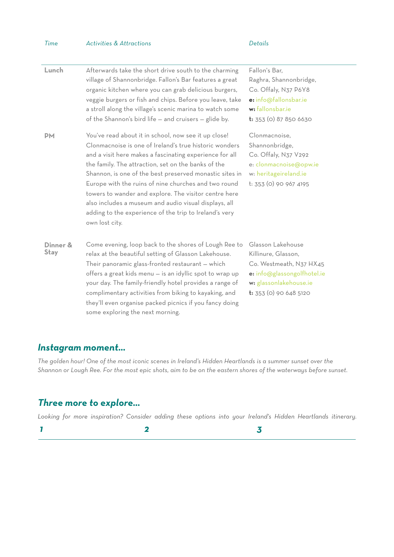| Time                    | <b>Activities &amp; Attractions</b>                                                                                                                                                                                                                                                                                                                                                                                                                                                                                                               | Details                                                                                                                                                  |
|-------------------------|---------------------------------------------------------------------------------------------------------------------------------------------------------------------------------------------------------------------------------------------------------------------------------------------------------------------------------------------------------------------------------------------------------------------------------------------------------------------------------------------------------------------------------------------------|----------------------------------------------------------------------------------------------------------------------------------------------------------|
| Lunch                   | Afterwards take the short drive south to the charming<br>village of Shannonbridge. Fallon's Bar features a great<br>organic kitchen where you can grab delicious burgers,<br>veggie burgers or fish and chips. Before you leave, take<br>a stroll along the village's scenic marina to watch some<br>of the Shannon's bird life - and cruisers - glide by.                                                                                                                                                                                        | Fallon's Bar.<br>Raghra, Shannonbridge,<br>Co. Offaly, N37 P6Y8<br>e: info@fallonsbar.ie<br>w: fallonsbar.ie<br>t: 353 (0) 87 850 6630                   |
| PМ                      | You've read about it in school, now see it up close!<br>Clonmacnoise is one of Ireland's true historic wonders<br>and a visit here makes a fascinating experience for all<br>the family. The attraction, set on the banks of the<br>Shannon, is one of the best preserved monastic sites in<br>Europe with the ruins of nine churches and two round<br>towers to wander and explore. The visitor centre here<br>also includes a museum and audio visual displays, all<br>adding to the experience of the trip to Ireland's very<br>own lost city. | Clonmacnoise.<br>Shannonbridge,<br>Co. Offaly, N37 V292<br>e: clonmacnoise@opw.ie<br>w: heritageireland.ie<br>t: 353 (0) 90 967 4195                     |
| Dinner &<br><b>Stay</b> | Come evening, loop back to the shores of Lough Ree to<br>relax at the beautiful setting of Glasson Lakehouse.<br>Their panoramic glass-fronted restaurant - which<br>offers a great kids menu - is an idyllic spot to wrap up<br>your day. The family-friendly hotel provides a range of<br>complimentary activities from biking to kayaking, and<br>they'll even organise packed picnics if you fancy doing<br>some exploring the next morning.                                                                                                  | Glasson Lakehouse<br>Killinure, Glasson,<br>Co. Westmeath, N37 HX45<br>e: info@glassongolfhotel.ie<br>w: glassonlakehouse.ie<br>$t: 353$ (0) 90 648 5120 |

#### *Instagram moment…*

*The golden hour! One of the most iconic scenes in Ireland's Hidden Heartlands is a summer sunset over the Shannon or Lough Ree. For the most epic shots, aim to be on the eastern shores of the waterways before sunset.* 

#### *Three more to explore…*

*Looking for more inspiration? Consider adding these options into your Ireland's Hidden Heartlands itinerary.*

*1 2 3*